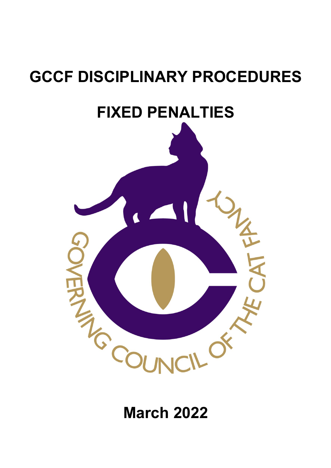# **GCCF DISCIPLINARY PROCEDURES**

## **FIXED PENALTIES**



## **March 2022**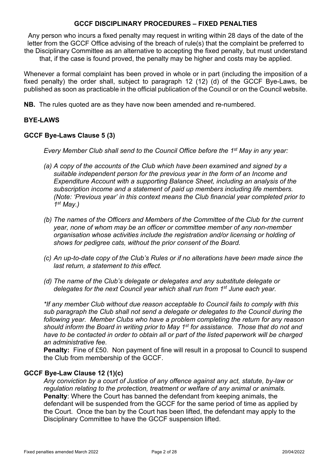Any person who incurs a fixed penalty may request in writing within 28 days of the date of the letter from the GCCF Office advising of the breach of rule(s) that the complaint be preferred to the Disciplinary Committee as an alternative to accepting the fixed penalty, but must understand that, if the case is found proved, the penalty may be higher and costs may be applied.

Whenever a formal complaint has been proved in whole or in part (including the imposition of a fixed penalty) the order shall, subject to paragraph 12 (12) (d) of the GCCF Bye-Laws, be published as soon as practicable in the official publication of the Council or on the Council website.

**NB.** The rules quoted are as they have now been amended and re-numbered.

## **BYE-LAWS**

## **GCCF Bye-Laws Clause 5 (3)**

*Every Member Club shall send to the Council Office before the 1st May in any year:*

- *(a) A copy of the accounts of the Club which have been examined and signed by a suitable independent person for the previous year in the form of an Income and Expenditure Account with a supporting Balance Sheet, including an analysis of the subscription income and a statement of paid up members including life members. (Note: 'Previous year' in this context means the Club financial year completed prior to 1st May.)*
- *(b) The names of the Officers and Members of the Committee of the Club for the current year, none of whom may be an officer or committee member of any non-member organisation whose activities include the registration and/or licensing or holding of shows for pedigree cats, without the prior consent of the Board.*
- *(c) An up-to-date copy of the Club's Rules or if no alterations have been made since the last return, a statement to this effect.*
- *(d) The name of the Club's delegate or delegates and any substitute delegate or delegates for the next Council year which shall run from 1st June each year.*

*\*If any member Club without due reason acceptable to Council fails to comply with this sub paragraph the Club shall not send a delegate or delegates to the Council during the following year. Member Clubs who have a problem completing the return for any reason should inform the Board in writing prior to May 1st for assistance. Those that do not and have to be contacted in order to obtain all or part of the listed paperwork will be charged an administrative fee.*

**Penalty:** Fine of £50. Non payment of fine will result in a proposal to Council to suspend the Club from membership of the GCCF.

#### **GCCF Bye-Law Clause 12 (1)(c)**

*Any conviction by a court of Justice of any offence against any act, statute, by-law or regulation relating to the protection, treatment or welfare of any animal or animals.* **Penalty**: Where the Court has banned the defendant from keeping animals, the defendant will be suspended from the GCCF for the same period of time as applied by the Court. Once the ban by the Court has been lifted, the defendant may apply to the Disciplinary Committee to have the GCCF suspension lifted.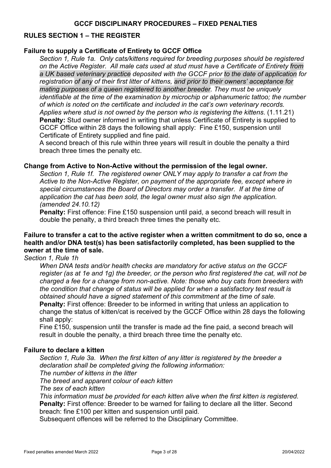## **RULES SECTION 1 – THE REGISTER**

## **Failure to supply a Certificate of Entirety to GCCF Office**

*Section 1, Rule 1a. Only cats/kittens required for breeding purposes should be registered on the Active Register. All male cats used at stud must have a Certificate of Entirety from a UK based veterinary practice deposited with the GCCF prior to the date of application for registration of any of their first litter of kittens, and prior to their owners' acceptance for mating purposes of a queen registered to another breeder. They must be uniquely identifiable at the time of the examination by microchip or alphanumeric tattoo; the number of which is noted on the certificate and included in the cat's own veterinary records. Applies where stud is not owned by the person who is registering the kittens*. (1.11.21) **Penalty:** Stud owner informed in writing that unless Certificate of Entirety is supplied to GCCF Office within 28 days the following shall apply: Fine £150, suspension until Certificate of Entirety supplied and fine paid.

A second breach of this rule within three years will result in double the penalty a third breach three times the penalty etc.

#### **Change from Active to Non-Active without the permission of the legal owner.**

*Section 1, Rule 1f. The registered owner ONLY may apply to transfer a cat from the Active to the Non-Active Register, on payment of the appropriate fee, except where in special circumstances the Board of Directors may order a transfer. If at the time of application the cat has been sold, the legal owner must also sign the application. (amended 24.10.12)*

**Penalty:** First offence: Fine £150 suspension until paid, a second breach will result in double the penalty, a third breach three times the penalty etc.

## **Failure to transfer a cat to the active register when a written commitment to do so, once a health and/or DNA test(s) has been satisfactorily completed, has been supplied to the owner at the time of sale.**

*Section 1, Rule 1h*

*When DNA tests and/or health checks are mandatory for active status on the GCCF register (as at 1e and 1g) the breeder, or the person who first registered the cat, will not be charged a fee for a change from non-active. Note: those who buy cats from breeders with the condition that change of status will be applied for when a satisfactory test result is obtained should have a signed statement of this commitment at the time of sale.* **Penalty:** First offence: Breeder to be informed in writing that unless an application to change the status of kitten/cat is received by the GCCF Office within 28 days the following shall apply:

Fine £150, suspension until the transfer is made ad the fine paid, a second breach will result in double the penalty, a third breach three time the penalty etc.

#### **Failure to declare a kitten**

*Section 1, Rule 3a. When the first kitten of any litter is registered by the breeder a declaration shall be completed giving the following information: The number of kittens in the litter The breed and apparent colour of each kitten The sex of each kitten This information must be provided for each kitten alive when the first kitten is registered.* **Penalty:** First offence: Breeder to be warned for failing to declare all the litter. Second breach: fine £100 per kitten and suspension until paid.

Subsequent offences will be referred to the Disciplinary Committee.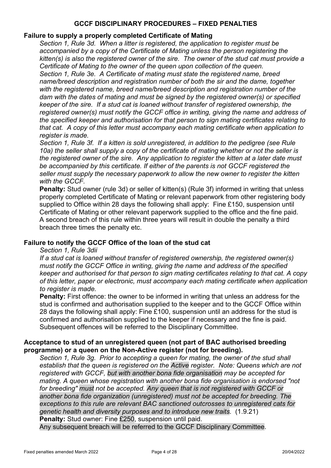## **Failure to supply a properly completed Certificate of Mating**

*Section 1, Rule 3d. When a litter is registered, the application to register must be accompanied by a copy of the Certificate of Mating unless the person registering the kitten(s) is also the registered owner of the sire. The owner of the stud cat must provide a Certificate of Mating to the owner of the queen upon collection of the queen. Section 1, Rule 3e. A Certificate of mating must state the registered name, breed name/breed description and registration number of both the sir and the dame, together with the registered name, breed name/breed description and registration number of the dam with the dates of mating and must be signed by the registered owner(s) or specified keeper of the sire. If a stud cat is loaned without transfer of registered ownership, the registered owner(s) must notify the GCCF office in writing, giving the name and address of the specified keeper and authorisation for that person to sign mating certificates relating to that cat. A copy of this letter must accompany each mating certificate when application to register is made.*

*Section 1, Rule 3f. If a kitten is sold unregistered, in addition to the pedigree (see Rule 10a) the seller shall supply a copy of the certificate of mating whether or not the seller is the registered owner of the sire. Any application to register the kitten at a later date must be accompanied by this certificate. If either of the parents is not GCCF registered the seller must supply the necessary paperwork to allow the new owner to register the kitten with the GCCF.*

**Penalty:** Stud owner (rule 3d) or seller of kitten(s) (Rule 3f) informed in writing that unless properly completed Certificate of Mating or relevant paperwork from other registering body supplied to Office within 28 days the following shall apply: Fine £150, suspension until Certificate of Mating or other relevant paperwork supplied to the office and the fine paid. A second breach of this rule within three years will result in double the penalty a third breach three times the penalty etc.

## **Failure to notify the GCCF Office of the loan of the stud cat**

#### *Section 1, Rule 3dii*

*If a stud cat is loaned without transfer of registered ownership, the registered owner(s) must notify the GCCF Office in writing, giving the name and address of the specified keeper and authorised for that person to sign mating certificates relating to that cat. A copy of this letter, paper or electronic, must accompany each mating certificate when application to register is made.* 

**Penalty:** First offence: the owner to be informed in writing that unless an address for the stud is confirmed and authorisation supplied to the keeper and to the GCCF Office within 28 days the following shall apply: Fine £100, suspension until an address for the stud is confirmed and authorisation supplied to the keeper if necessary and the fine is paid. Subsequent offences will be referred to the Disciplinary Committee.

## **Acceptance to stud of an unregistered queen (not part of BAC authorised breeding programme) or a queen on the Non-Active register (not for breeding).**

*Section 1, Rule 3g. Prior to accepting a queen for mating, the owner of the stud shall establish that the queen is registered on the Active register. Note: Queens which are not registered with GCCF, but with another bona fide organisation may be accepted for mating. A queen whose registration with another bona fide organisation is endorsed "not for breeding" must not be accepted. Any queen that is not registered with GCCF or another bona fide organization (unregistered) must not be accepted for breeding. The exceptions to this rule are relevant BAC sanctioned outcrosses to unregistered cats for genetic health and diversity purposes and to introduce new traits.* (1.9.21) **Penalty:** Stud owner: Fine £250, suspension until paid.

Any subsequent breach will be referred to the GCCF Disciplinary Committee.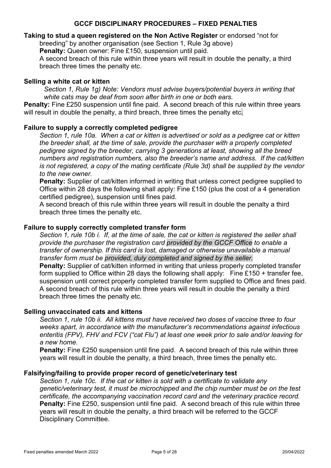## **Taking to stud a queen registered on the Non Active Register** or endorsed "not for

breeding" by another organisation (see Section 1, Rule 3g above)

**Penalty:** Queen owner: Fine £150, suspension until paid.

A second breach of this rule within three years will result in double the penalty, a third breach three times the penalty etc.

## **Selling a white cat or kitten**

*Section 1, Rule 1g) Note: Vendors must advise buyers/potential buyers in writing that white cats may be deaf from soon after birth in one or both ears.*

**Penalty:** Fine £250 suspension until fine paid. A second breach of this rule within three years will result in double the penalty, a third breach, three times the penalty etc.

## **Failure to supply a correctly completed pedigree**

*Section 1, rule 10a. When a cat or kitten is advertised or sold as a pedigree cat or kitten the breeder shall, at the time of sale, provide the purchaser with a properly completed pedigree signed by the breeder, carrying 3 generations at least, showing all the breed numbers and registration numbers, also the breeder's name and address. If the cat/kitten is not registered, a copy of the mating certificate (Rule 3d) shall be supplied by the vendor to the new owner.*

**Penalty:** Supplier of cat/kitten informed in writing that unless correct pedigree supplied to Office within 28 days the following shall apply: Fine £150 (plus the cost of a 4 generation certified pedigree), suspension until fines paid.

A second breach of this rule within three years will result in double the penalty a third breach three times the penalty etc.

## **Failure to supply correctly completed transfer form**

*Section 1, rule 10b i. If, at the time of sale, the cat or kitten is registered the seller shall provide the purchaser the registration card provided by the GCCF Office to enable a transfer of ownership. If this card is lost, damaged or otherwise unavailable a manual transfer form must be provided, duly completed and signed by the seller.*

**Penalty:** Supplier of cat/kitten informed in writing that unless properly completed transfer form supplied to Office within 28 days the following shall apply: Fine £150 + transfer fee, suspension until correct properly completed transfer form supplied to Office and fines paid. A second breach of this rule within three years will result in double the penalty a third breach three times the penalty etc.

#### **Selling unvaccinated cats and kittens**

*Section 1, rule 10b ii. All kittens must have received two doses of vaccine three to four weeks apart, in accordance with the manufacturer's recommendations against infectious enteritis (FPV), FHV and FCV ("cat Flu") at least one week prior to sale and/or leaving for a new home.*

**Penalty:** Fine £250 suspension until fine paid. A second breach of this rule within three years will result in double the penalty, a third breach, three times the penalty etc.

#### **Falsifying/failing to provide proper record of genetic/veterinary test**

*Section 1, rule 10c. If the cat or kitten is sold with a certificate to validate any genetic/veterinary test, it must be microchipped and the chip number must be on the test certificate, the accompanying vaccination record card and the veterinary practice record.* **Penalty:** Fine £250, suspension until fine paid. A second breach of this rule within three years will result in double the penalty, a third breach will be referred to the GCCF Disciplinary Committee.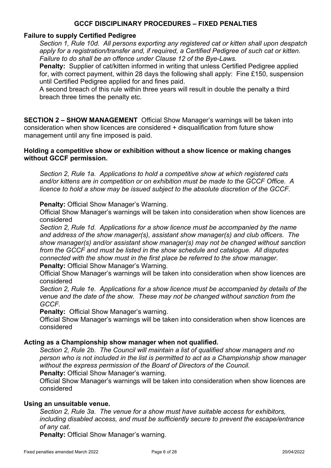#### **Failure to supply Certified Pedigree**

*Section 1, Rule 10d. All persons exporting any registered cat or kitten shall upon despatch apply for a registration/transfer and, if required, a Certified Pedigree of such cat or kitten. Failure to do shall be an offence under Clause 12 of the Bye-Laws.*

**Penalty:** Supplier of cat/kitten informed in writing that unless Certified Pedigree applied for, with correct payment, within 28 days the following shall apply: Fine £150, suspension until Certified Pedigree applied for and fines paid.

A second breach of this rule within three years will result in double the penalty a third breach three times the penalty etc.

**SECTION 2 – SHOW MANAGEMENT** Official Show Manager's warnings will be taken into consideration when show licences are considered + disqualification from future show management until any fine imposed is paid.

#### **Holding a competitive show or exhibition without a show licence or making changes without GCCF permission.**

*Section 2, Rule 1a. Applications to hold a competitive show at which registered cats and/or kittens are in competition or on exhibition must be made to the GCCF Office. A licence to hold a show may be issued subject to the absolute discretion of the GCCF.*

#### **Penalty:** Official Show Manager's Warning.

Official Show Manager's warnings will be taken into consideration when show licences are considered

*Section 2, Rule 1d. Applications for a show licence must be accompanied by the name and address of the show manager(s), assistant show manager(s) and club officers. The show manager(s) and/or assistant show manager(s) may not be changed without sanction from the GCCF and must be listed in the show schedule and catalogue. All disputes connected with the show must in the first place be referred to the show manager.* **Penalty:** Official Show Manager's Warning.

Official Show Manager's warnings will be taken into consideration when show licences are considered

*Section 2, Rule 1e. Applications for a show licence must be accompanied by details of the venue and the date of the show. These may not be changed without sanction from the GCCF.*

#### **Penalty:** Official Show Manager's warning.

Official Show Manager's warnings will be taken into consideration when show licences are considered

#### **Acting as a Championship show manager when not qualified.**

*Section 2, Rule 2b. The Council will maintain a list of qualified show managers and no person who is not included in the list is permitted to act as a Championship show manager without the express permission of the Board of Directors of the Council.*

**Penalty:** Official Show Manager's warning.

Official Show Manager's warnings will be taken into consideration when show licences are considered

#### **Using an unsuitable venue.**

*Section 2, Rule 3a. The venue for a show must have suitable access for exhibitors, including disabled access, and must be sufficiently secure to prevent the escape/entrance of any cat*.

**Penalty:** Official Show Manager's warning.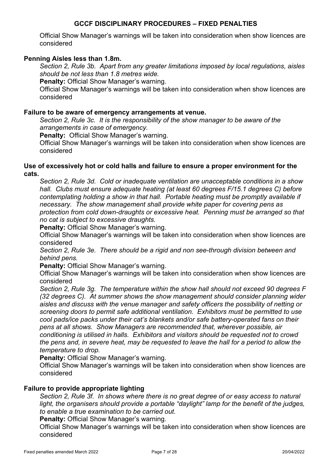Official Show Manager's warnings will be taken into consideration when show licences are considered

## **Penning Aisles less than 1.8m.**

*Section 2, Rule 3b. Apart from any greater limitations imposed by local regulations, aisles should be not less than 1.8 metres wide.*

**Penalty: Official Show Manager's warning.** 

Official Show Manager's warnings will be taken into consideration when show licences are considered

#### **Failure to be aware of emergency arrangements at venue.**

*Section 2, Rule 3c. It is the responsibility of the show manager to be aware of the arrangements in case of emergency.*

**Penalty:** Official Show Manager's warning.

Official Show Manager's warnings will be taken into consideration when show licences are considered

#### **Use of excessively hot or cold halls and failure to ensure a proper environment for the cats.**

*Section 2, Rule 3d. Cold or inadequate ventilation are unacceptable conditions in a show hall. Clubs must ensure adequate heating (at least 60 degrees F/15.1 degrees C) before contemplating holding a show in that hall. Portable heating must be promptly available if necessary. The show management shall provide white paper for covering pens as protection from cold down-draughts or excessive heat. Penning must be arranged so that no cat is subject to excessive draughts.*

**Penalty:** Official Show Manager's warning.

Official Show Manager's warnings will be taken into consideration when show licences are considered

*Section 2, Rule 3e. There should be a rigid and non see-through division between and behind pens.*

**Penalty:** Official Show Manager's warning.

Official Show Manager's warnings will be taken into consideration when show licences are considered

*Section 2, Rule 3g. The temperature within the show hall should not exceed 90 degrees F (32 degrees C). At summer shows the show management should consider planning wider aisles and discuss with the venue manager and safety officers the possibility of netting or screening doors to permit safe additional ventilation. Exhibitors must be permitted to use cool pads/ice packs under their cat's blankets and/or safe battery-operated fans on their pens at all shows. Show Managers are recommended that, wherever possible, air conditioning is utilised in halls. Exhibitors and visitors should be requested not to crowd the pens and, in severe heat, may be requested to leave the hall for a period to allow the temperature to drop.*

**Penalty:** Official Show Manager's warning.

Official Show Manager's warnings will be taken into consideration when show licences are considered

#### **Failure to provide appropriate lighting**

*Section 2, Rule 3f. In shows where there is no great degree of or easy access to natural*  light, the organisers should provide a portable "daylight" lamp for the benefit of the judges, *to enable a true examination to be carried out.*

**Penalty:** Official Show Manager's warning.

Official Show Manager's warnings will be taken into consideration when show licences are considered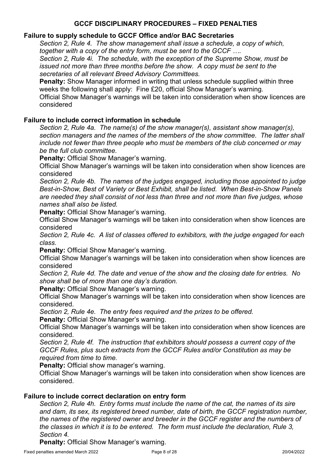## **Failure to supply schedule to GCCF Office and/or BAC Secretaries**

*Section 2, Rule 4. The show management shall issue a schedule, a copy of which, together with a copy of the entry form, must be sent to the GCCF ….*

*Section 2, Rule 4i. The schedule, with the exception of the Supreme Show, must be issued not more than three months before the show. A copy must be sent to the secretaries of all relevant Breed Advisory Committees.*

**Penalty:** Show Manager informed in writing that unless schedule supplied within three weeks the following shall apply: Fine £20, official Show Manager's warning.

Official Show Manager's warnings will be taken into consideration when show licences are considered

## **Failure to include correct information in schedule**

*Section 2, Rule 4a. The name(s) of the show manager(s), assistant show manager(s), section managers and the names of the members of the show committee. The latter shall include not fewer than three people who must be members of the club concerned or may be the full club committee.*

**Penalty: Official Show Manager's warning.** 

Official Show Manager's warnings will be taken into consideration when show licences are considered

*Section 2, Rule 4b. The names of the judges engaged, including those appointed to judge Best-in-Show, Best of Variety or Best Exhibit, shall be listed. When Best-in-Show Panels are needed they shall consist of not less than three and not more than five judges, whose names shall also be listed.*

**Penalty:** Official Show Manager's warning.

Official Show Manager's warnings will be taken into consideration when show licences are considered

*Section 2, Rule 4c. A list of classes offered to exhibitors, with the judge engaged for each class.*

**Penalty:** Official Show Manager's warning.

Official Show Manager's warnings will be taken into consideration when show licences are considered

*Section 2, Rule 4d. The date and venue of the show and the closing date for entries. No show shall be of more than one day's duration.*

**Penalty: Official Show Manager's warning.** 

Official Show Manager's warnings will be taken into consideration when show licences are considered.

*Section 2, Rule 4e. The entry fees required and the prizes to be offered.*

**Penalty:** Official Show Manager's warning.

Official Show Manager's warnings will be taken into consideration when show licences are considered.

*Section 2, Rule 4f. The instruction that exhibitors should possess a current copy of the GCCF Rules, plus such extracts from the GCCF Rules and/or Constitution as may be required from time to time.*

**Penalty:** Official show manager's warning.

Official Show Manager's warnings will be taken into consideration when show licences are considered.

## **Failure to include correct declaration on entry form**

*Section 2, Rule 4h. Entry forms must include the name of the cat, the names of its sire and dam, its sex, its registered breed number, date of birth, the GCCF registration number, the names of the registered owner and breeder in the GCCF register and the numbers of the classes in which it is to be entered. The form must include the declaration, Rule 3, Section 4.*

**Penalty:** Official Show Manager's warning.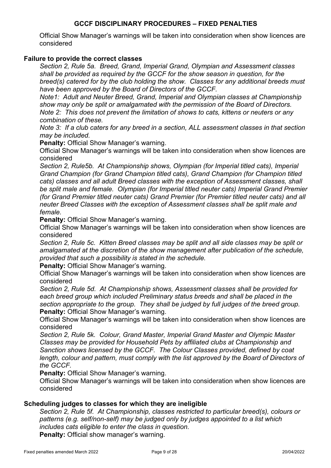Official Show Manager's warnings will be taken into consideration when show licences are considered

## **Failure to provide the correct classes**

*Section 2, Rule 5a. Breed, Grand, Imperial Grand, Olympian and Assessment classes shall be provided as required by the GCCF for the show season in question, for the breed(s) catered for by the club holding the show. Classes for any additional breeds must have been approved by the Board of Directors of the GCCF.*

*Note1: Adult and Neuter Breed, Grand, Imperial and Olympian classes at Championship show may only be split or amalgamated with the permission of the Board of Directors. Note 2: This does not prevent the limitation of shows to cats, kittens or neuters or any combination of these.*

*Note 3: If a club caters for any breed in a section, ALL assessment classes in that section may be included.*

**Penalty: Official Show Manager's warning.** 

Official Show Manager's warnings will be taken into consideration when show licences are considered

*Section 2, Rule5b. At Championship shows, Olympian (for Imperial titled cats), Imperial Grand Champion (for Grand Champion titled cats), Grand Champion (for Champion titled cats) classes and all adult Breed classes with the exception of Assessment classes, shall be split male and female. Olympian (for Imperial titled neuter cats) Imperial Grand Premier (for Grand Premier titled neuter cats) Grand Premier (for Premier titled neuter cats) and all neuter Breed Classes with the exception of Assessment classes shall be split male and female.*

**Penalty: Official Show Manager's warning.** 

Official Show Manager's warnings will be taken into consideration when show licences are considered

*Section 2, Rule 5c. Kitten Breed classes may be split and all side classes may be split or amalgamated at the discretion of the show management after publication of the schedule, provided that such a possibility is stated in the schedule.*

**Penalty:** Official Show Manager's warning.

Official Show Manager's warnings will be taken into consideration when show licences are considered

*Section 2, Rule 5d. At Championship shows, Assessment classes shall be provided for each breed group which included Preliminary status breeds and shall be placed in the section appropriate to the group. They shall be judged by full judges of the breed group.* **Penalty:** Official Show Manager's warning.

Official Show Manager's warnings will be taken into consideration when show licences are considered

*Section 2, Rule 5k. Colour, Grand Master, Imperial Grand Master and Olympic Master Classes may be provided for Household Pets by affiliated clubs at Championship and Sanction shows licensed by the GCCF. The Colour Classes provided, defined by coat length, colour and pattern, must comply with the list approved by the Board of Directors of the GCCF.*

**Penalty:** Official Show Manager's warning.

Official Show Manager's warnings will be taken into consideration when show licences are considered

## **Scheduling judges to classes for which they are ineligible**

*Section 2, Rule 5f. At Championship, classes restricted to particular breed(s), colours or patterns (e.g. self/non-self) may be judged only by judges appointed to a list which includes cats eligible to enter the class in question.*  **Penalty:** Official show manager's warning.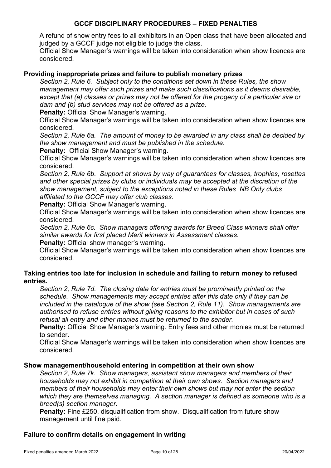A refund of show entry fees to all exhibitors in an Open class that have been allocated and judged by a GCCF judge not eligible to judge the class.

Official Show Manager's warnings will be taken into consideration when show licences are considered.

## **Providing inappropriate prizes and failure to publish monetary prizes**

*Section 2, Rule 6. Subject only to the conditions set down in these Rules, the show management may offer such prizes and make such classifications as it deems desirable, except that (a) classes or prizes may not be offered for the progeny of a particular sire or dam and (b) stud services may not be offered as a prize.*

**Penalty:** Official Show Manager's warning.

Official Show Manager's warnings will be taken into consideration when show licences are considered.

*Section 2, Rule 6a. The amount of money to be awarded in any class shall be decided by the show management and must be published in the schedule.*

**Penalty:** Official Show Manager's warning.

Official Show Manager's warnings will be taken into consideration when show licences are considered.

*Section 2, Rule 6b. Support at shows by way of guarantees for classes, trophies, rosettes and other special prizes by clubs or individuals may be accepted at the discretion of the show management, subject to the exceptions noted in these Rules NB Only clubs affiliated to the GCCF may offer club classes.*

**Penalty: Official Show Manager's warning.** 

Official Show Manager's warnings will be taken into consideration when show licences are considered.

*Section 2, Rule 6c. Show managers offering awards for Breed Class winners shall offer similar awards for first placed Merit winners in Assessment classes.*

**Penalty:** Official show manager's warning.

Official Show Manager's warnings will be taken into consideration when show licences are considered.

## **Taking entries too late for inclusion in schedule and failing to return money to refused entries.**

*Section 2, Rule 7d. The closing date for entries must be prominently printed on the schedule. Show managements may accept entries after this date only if they can be included in the catalogue of the show (see Section 2, Rule 11). Show managements are authorised to refuse entries without giving reasons to the exhibitor but in cases of such refusal all entry and other monies must be returned to the sender.*

**Penalty:** Official Show Manager's warning. Entry fees and other monies must be returned to sender.

Official Show Manager's warnings will be taken into consideration when show licences are considered.

#### **Show management/household entering in competition at their own show**

*Section 2, Rule 7k. Show managers, assistant show managers and members of their households may not exhibit in competition at their own shows. Section managers and members of their households may enter their own shows but may not enter the section which they are themselves managing. A section manager is defined as someone who is a breed(s) section manager.*

**Penalty:** Fine £250, disqualification from show. Disqualification from future show management until fine paid.

## **Failure to confirm details on engagement in writing**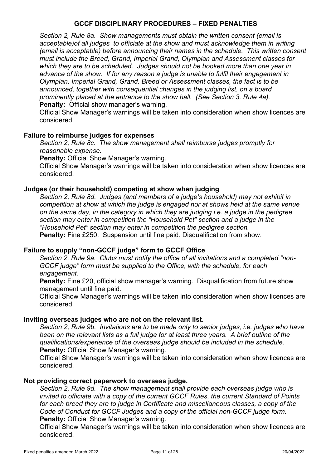*Section 2, Rule 8a. Show managements must obtain the written consent (email is acceptable)of all judges to officiate at the show and must acknowledge them in writing (email is acceptable) before announcing their names in the schedule. This written consent must include the Breed, Grand, Imperial Grand, Olympian and Assessment classes for which they are to be scheduled. Judges should not be booked more than one year in advance of the show. If for any reason a judge is unable to fulfil their engagement in Olympian, Imperial Grand, Grand, Breed or Assessment classes, the fact is to be announced, together with consequential changes in the judging list, on a board prominently placed at the entrance to the show hall. (See Section 3, Rule 4a).* **Penalty:** Official show manager's warning.

Official Show Manager's warnings will be taken into consideration when show licences are considered.

#### **Failure to reimburse judges for expenses**

*Section 2, Rule 8c. The show management shall reimburse judges promptly for reasonable expense.*

**Penalty:** Official Show Manager's warning.

Official Show Manager's warnings will be taken into consideration when show licences are considered.

#### **Judges (or their household) competing at show when judging**

*Section 2, Rule 8d. Judges (and members of a judge's household) may not exhibit in competition at show at which the judge is engaged nor at shows held at the same venue on the same day, in the category in which they are judging i.e. a judge in the pedigree section may enter in competition the "Household Pet" section and a judge in the "Household Pet" section may enter in competition the pedigree section.* **Penalty:** Fine £250. Suspension until fine paid. Disqualification from show.

## **Failure to supply "non-GCCF judge" form to GCCF Office**

*Section 2, Rule 9a. Clubs must notify the office of all invitations and a completed "non-GCCF judge" form must be supplied to the Office, with the schedule, for each engagement.*

**Penalty:** Fine £20, official show manager's warning. Disqualification from future show management until fine paid.

Official Show Manager's warnings will be taken into consideration when show licences are considered.

#### **Inviting overseas judges who are not on the relevant list.**

*Section 2, Rule 9b. Invitations are to be made only to senior judges, i.e. judges who have been on the relevant lists as a full judge for at least three years. A brief outline of the qualifications/experience of the overseas judge should be included in the schedule.* **Penalty:** Official Show Manager's warning.

Official Show Manager's warnings will be taken into consideration when show licences are considered.

#### **Not providing correct paperwork to overseas judge.**

*Section 2, Rule 9d. The show management shall provide each overseas judge who is invited to officiate with a copy of the current GCCF Rules, the current Standard of Points for each breed they are to judge in Certificate and miscellaneous classes, a copy of the Code of Conduct for GCCF Judges and a copy of the official non-GCCF judge form.* **Penalty:** Official Show Manager's warning.

Official Show Manager's warnings will be taken into consideration when show licences are considered.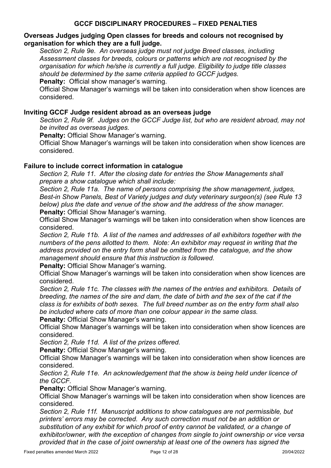## **Overseas Judges judging Open classes for breeds and colours not recognised by organisation for which they are a full judge.**

*Section 2, Rule 9e. An overseas judge must not judge Breed classes, including Assessment classes for breeds, colours or patterns which are not recognised by the organisation for which he/she is currently a full judge. Eligibility to judge title classes should be determined by the same criteria applied to GCCF judges.*

**Penalty:** Official show manager's warning.

Official Show Manager's warnings will be taken into consideration when show licences are considered.

## **Inviting GCCF Judge resident abroad as an overseas judge**

*Section 2, Rule 9f. Judges on the GCCF Judge list, but who are resident abroad, may not be invited as overseas judges.*

**Penalty:** Official Show Manager's warning.

Official Show Manager's warnings will be taken into consideration when show licences are considered.

## **Failure to include correct information in catalogue**

*Section 2, Rule 11. After the closing date for entries the Show Managements shall prepare a show catalogue which shall include:*

*Section 2, Rule 11a. The name of persons comprising the show management, judges, Best-in Show Panels, Best of Variety judges and duty veterinary surgeon(s) (see Rule 13 below) plus the date and venue of the show and the address of the show manager.* **Penalty:** Official Show Manager's warning.

Official Show Manager's warnings will be taken into consideration when show licences are considered.

*Section 2, Rule 11b. A list of the names and addresses of all exhibitors together with the numbers of the pens allotted to them. Note: An exhibitor may request in writing that the address provided on the entry form shall be omitted from the catalogue, and the show management should ensure that this instruction is followed.*

**Penalty:** Official Show Manager's warning.

Official Show Manager's warnings will be taken into consideration when show licences are considered.

*Section 2, Rule 11c. The classes with the names of the entries and exhibitors. Details of breeding, the names of the sire and dam, the date of birth and the sex of the cat if the class is for exhibits of both sexes. The full breed number as on the entry form shall also be included where cats of more than one colour appear in the same class.*

**Penalty:** Official Show Manager's warning.

Official Show Manager's warnings will be taken into consideration when show licences are considered.

*Section 2, Rule 11d. A list of the prizes offered.*

**Penalty: Official Show Manager's warning.** 

Official Show Manager's warnings will be taken into consideration when show licences are considered.

*Section 2, Rule 11e. An acknowledgement that the show is being held under licence of the GCCF.*

**Penalty:** Official Show Manager's warning.

Official Show Manager's warnings will be taken into consideration when show licences are considered.

*Section 2, Rule 11f. Manuscript additions to show catalogues are not permissible, but printers' errors may be corrected. Any such correction must not be an addition or substitution of any exhibit for which proof of entry cannot be validated, or a change of exhibitor/owner, with the exception of changes from single to joint ownership or vice versa provided that in the case of joint ownership at least one of the owners has signed the*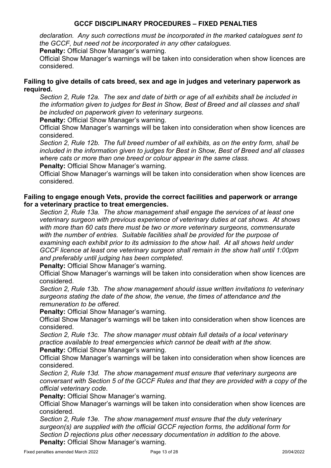*declaration. Any such corrections must be incorporated in the marked catalogues sent to the GCCF, but need not be incorporated in any other catalogues.*

**Penalty:** Official Show Manager's warning.

Official Show Manager's warnings will be taken into consideration when show licences are considered.

## **Failing to give details of cats breed, sex and age in judges and veterinary paperwork as required.**

*Section 2, Rule 12a. The sex and date of birth or age of all exhibits shall be included in the information given to judges for Best in Show, Best of Breed and all classes and shall be included on paperwork given to veterinary surgeons.*

**Penalty: Official Show Manager's warning.** 

Official Show Manager's warnings will be taken into consideration when show licences are considered.

*Section 2, Rule 12b. The full breed number of all exhibits, as on the entry form, shall be included in the information given to judges for Best in Show, Best of Breed and all classes where cats or more than one breed or colour appear in the same class.*

**Penalty:** Official Show Manager's warning.

Official Show Manager's warnings will be taken into consideration when show licences are considered.

## **Failing to engage enough Vets, provide the correct facilities and paperwork or arrange for a veterinary practice to treat emergencies.**

*Section 2, Rule 13a. The show management shall engage the services of at least one veterinary surgeon with previous experience of veterinary duties at cat shows. At shows with more than 60 cats there must be two or more veterinary surgeons, commensurate with the number of entries. Suitable facilities shall be provided for the purpose of examining each exhibit prior to its admission to the show hall. At all shows held under GCCF licence at least one veterinary surgeon shall remain in the show hall until 1:00pm and preferably until judging has been completed.*

**Penalty:** Official Show Manager's warning.

Official Show Manager's warnings will be taken into consideration when show licences are considered.

*Section 2, Rule 13b. The show management should issue written invitations to veterinary surgeons stating the date of the show, the venue, the times of attendance and the remuneration to be offered.*

## **Penalty:** Official Show Manager's warning.

Official Show Manager's warnings will be taken into consideration when show licences are considered.

*Section 2, Rule 13c. The show manager must obtain full details of a local veterinary practice available to treat emergencies which cannot be dealt with at the show.*

**Penalty: Official Show Manager's warning.** 

Official Show Manager's warnings will be taken into consideration when show licences are considered.

*Section 2, Rule 13d. The show management must ensure that veterinary surgeons are conversant with Section 5 of the GCCF Rules and that they are provided with a copy of the official veterinary code.*

**Penalty:** Official Show Manager's warning.

Official Show Manager's warnings will be taken into consideration when show licences are considered.

*Section 2, Rule 13e. The show management must ensure that the duty veterinary surgeon(s) are supplied with the official GCCF rejection forms, the additional form for Section D rejections plus other necessary documentation in addition to the above.* **Penalty: Official Show Manager's warning.**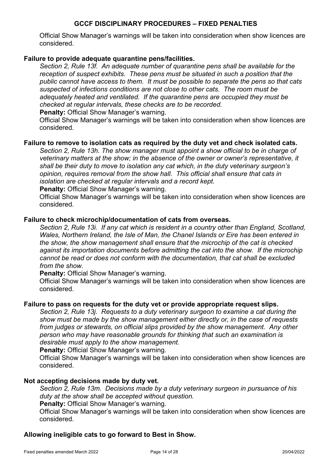Official Show Manager's warnings will be taken into consideration when show licences are considered.

## **Failure to provide adequate quarantine pens/facilities.**

*Section 2, Rule 13f. An adequate number of quarantine pens shall be available for the reception of suspect exhibits. These pens must be situated in such a position that the public cannot have access to them. It must be possible to separate the pens so that cats suspected of infections conditions are not close to other cats. The room must be adequately heated and ventilated. If the quarantine pens are occupied they must be checked at regular intervals, these checks are to be recorded.*

**Penalty:** Official Show Manager's warning.

Official Show Manager's warnings will be taken into consideration when show licences are considered.

#### **Failure to remove to isolation cats as required by the duty vet and check isolated cats.**

*Section 2, Rule 13h. The show manager must appoint a show official to be in charge of veterinary matters at the show; in the absence of the owner or owner's representative, it shall be their duty to move to isolation any cat which, in the duty veterinary surgeon's opinion, requires removal from the show hall. This official shall ensure that cats in isolation are checked at regular intervals and a record kept.* 

**Penalty:** Official Show Manager's warning.

Official Show Manager's warnings will be taken into consideration when show licences are considered.

#### **Failure to check microchip/documentation of cats from overseas.**

*Section 2, Rule 13i. If any cat which is resident in a country other than England, Scotland, Wales, Northern Ireland, the Isle of Man, the Chanel Islands or Eire has been entered in the show, the show management shall ensure that the microchip of the cat is checked against its importation documents before admitting the cat into the show. If the microchip cannot be read or does not conform with the documentation, that cat shall be excluded from the show.*

**Penalty:** Official Show Manager's warning.

Official Show Manager's warnings will be taken into consideration when show licences are considered.

#### **Failure to pass on requests for the duty vet or provide appropriate request slips.**

*Section 2, Rule 13j. Requests to a duty veterinary surgeon to examine a cat during the show must be made by the show management either directly or, in the case of requests from judges or stewards, on official slips provided by the show management. Any other person who may have reasonable grounds for thinking that such an examination is desirable must apply to the show management.*

**Penalty:** Official Show Manager's warning.

Official Show Manager's warnings will be taken into consideration when show licences are considered.

#### **Not accepting decisions made by duty vet.**

*Section 2, Rule 13m. Decisions made by a duty veterinary surgeon in pursuance of his duty at the show shall be accepted without question.*

**Penalty:** Official Show Manager's warning.

Official Show Manager's warnings will be taken into consideration when show licences are considered.

#### **Allowing ineligible cats to go forward to Best in Show.**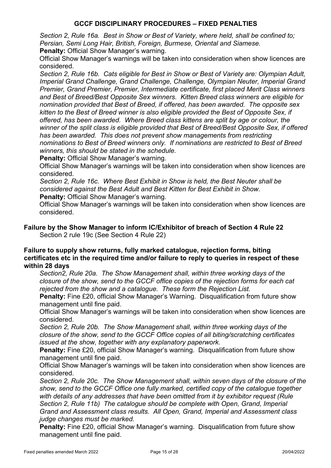*Section 2, Rule 16a. Best in Show or Best of Variety, where held, shall be confined to; Persian, Semi Long Hair, British, Foreign, Burmese, Oriental and Siamese.*

**Penalty: Official Show Manager's warning.** 

Official Show Manager's warnings will be taken into consideration when show licences are considered.

*Section 2, Rule 16b. Cats eligible for Best in Show or Best of Variety are: Olympian Adult, Imperial Grand Challenge, Grand Challenge, Challenge, Olympian Neuter, Imperial Grand Premier, Grand Premier, Premier, Intermediate certificate, first placed Merit Class winners and Best of Breed/Best Opposite Sex winners. Kitten Breed class winners are eligible for nomination provided that Best of Breed, if offered, has been awarded. The opposite sex kitten to the Best of Breed winner is also eligible provided the Best of Opposite Sex, if offered, has been awarded. Where Breed class kittens are split by age or colour, the winner of the split class is eligible provided that Best of Breed/Best Opposite Sex, if offered has been awarded. This does not prevent show managements from restricting nominations to Best of Breed winners only. If nominations are restricted to Best of Breed winners, this should be stated in the schedule.*

**Penalty:** Official Show Manager's warning.

Official Show Manager's warnings will be taken into consideration when show licences are considered.

*Section 2, Rule 16c. Where Best Exhibit in Show is held, the Best Neuter shall be considered against the Best Adult and Best Kitten for Best Exhibit in Show.*

**Penalty: Official Show Manager's warning.** 

Official Show Manager's warnings will be taken into consideration when show licences are considered.

## **Failure by the Show Manager to inform IC/Exhibitor of breach of Section 4 Rule 22** Section 2 rule 19c (See Section 4 Rule 22)

## **Failure to supply show returns, fully marked catalogue, rejection forms, biting certificates etc in the required time and/or failure to reply to queries in respect of these within 28 days**

*Section2, Rule 20a. The Show Management shall, within three working days of the closure of the show, send to the GCCF office copies of the rejection forms for each cat rejected from the show and a catalogue. These form the Rejection List.*

**Penalty:** Fine £20, official Show Manager's Warning. Disqualification from future show management until fine paid.

Official Show Manager's warnings will be taken into consideration when show licences are considered.

*Section 2, Rule 20b. The Show Management shall, within three working days of the closure of the show, send to the GCCF Office copies of all biting/scratching certificates issued at the show, together with any explanatory paperwork.*

**Penalty:** Fine £20, official Show Manager's warning. Disqualification from future show management until fine paid.

Official Show Manager's warnings will be taken into consideration when show licences are considered.

*Section 2, Rule 20c. The Show Management shall, within seven days of the closure of the show, send to the GCCF Office one fully marked, certified copy of the catalogue together with details of any addresses that have been omitted from it by exhibitor request (Rule Section 2, Rule 11b) The catalogue should be complete with Open, Grand, Imperial Grand and Assessment class results. All Open, Grand, Imperial and Assessment class judge changes must be marked.*

**Penalty:** Fine £20, official Show Manager's warning. Disqualification from future show management until fine paid.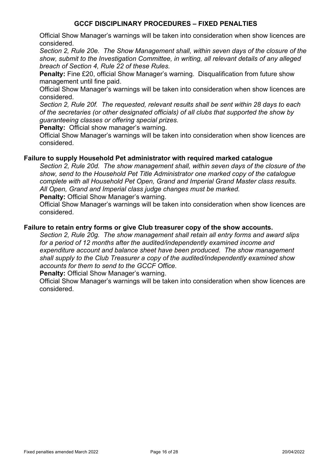Official Show Manager's warnings will be taken into consideration when show licences are considered.

*Section 2, Rule 20e. The Show Management shall, within seven days of the closure of the show, submit to the Investigation Committee, in writing, all relevant details of any alleged breach of Section 4, Rule 22 of these Rules.*

**Penalty:** Fine £20, official Show Manager's warning. Disqualification from future show management until fine paid.

Official Show Manager's warnings will be taken into consideration when show licences are considered.

*Section 2, Rule 20f. The requested, relevant results shall be sent within 28 days to each of the secretaries (or other designated officials) of all clubs that supported the show by guaranteeing classes or offering special prizes.*

**Penalty:** Official show manager's warning.

Official Show Manager's warnings will be taken into consideration when show licences are considered.

#### **Failure to supply Household Pet administrator with required marked catalogue**

*Section 2, Rule 20d. The show management shall, within seven days of the closure of the show, send to the Household Pet Title Administrator one marked copy of the catalogue complete with all Household Pet Open, Grand and Imperial Grand Master class results. All Open, Grand and Imperial class judge changes must be marked.*

**Penalty: Official Show Manager's warning.** 

Official Show Manager's warnings will be taken into consideration when show licences are considered.

#### **Failure to retain entry forms or give Club treasurer copy of the show accounts.**

*Section 2, Rule 20g. The show management shall retain all entry forms and award slips for a period of 12 months after the audited/independently examined income and expenditure account and balance sheet have been produced. The show management shall supply to the Club Treasurer a copy of the audited/independently examined show accounts for them to send to the GCCF Office.*

**Penalty:** Official Show Manager's warning.

Official Show Manager's warnings will be taken into consideration when show licences are considered.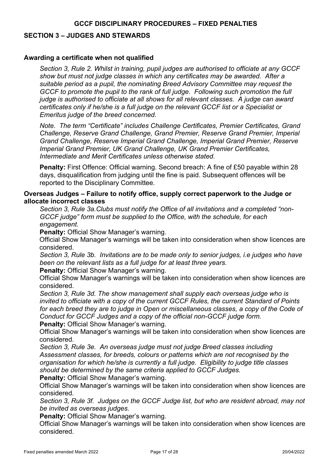#### **SECTION 3 – JUDGES AND STEWARDS**

## **Awarding a certificate when not qualified**

*Section 3, Rule 2. Whilst in training, pupil judges are authorised to officiate at any GCCF show but must not judge classes in which any certificates may be awarded. After a suitable period as a pupil, the nominating Breed Advisory Committee may request the GCCF to promote the pupil to the rank of full judge. Following such promotion the full judge is authorised to officiate at all shows for all relevant classes. A judge can award certificates only if he/she is a full judge on the relevant GCCF list or a Specialist or Emeritus judge of the breed concerned.*

*Note. The term "Certificate" includes Challenge Certificates, Premier Certificates, Grand Challenge, Reserve Grand Challenge, Grand Premier, Reserve Grand Premier, Imperial Grand Challenge, Reserve Imperial Grand Challenge, Imperial Grand Premier, Reserve Imperial Grand Premier, UK Grand Challenge, UK Grand Premier Certificates, Intermediate and Merit Certificates unless otherwise stated.*

**Penalty:** First Offence: Official warning. Second breach: A fine of £50 payable within 28 days, disqualification from judging until the fine is paid. Subsequent offences will be reported to the Disciplinary Committee.

## **Overseas Judges – Failure to notify office, supply correct paperwork to the Judge or allocate incorrect classes**

*Section 3, Rule 3a.Clubs must notify the Office of all invitations and a completed "non-GCCF judge" form must be supplied to the Office, with the schedule, for each engagement.*

**Penalty: Official Show Manager's warning.** 

Official Show Manager's warnings will be taken into consideration when show licences are considered.

*Section 3, Rule 3b. Invitations are to be made only to senior judges, i.e judges who have been on the relevant lists as a full judge for at least three years.*

**Penalty:** Official Show Manager's warning.

Official Show Manager's warnings will be taken into consideration when show licences are considered.

*Section 3, Rule 3d. The show management shall supply each overseas judge who is invited to officiate with a copy of the current GCCF Rules, the current Standard of Points for each breed they are to judge in Open or miscellaneous classes, a copy of the Code of Conduct for GCCF Judges and a copy of the official non-GCCF judge form.*

**Penalty:** Official Show Manager's warning.

Official Show Manager's warnings will be taken into consideration when show licences are considered.

*Section 3, Rule 3e. An overseas judge must not judge Breed classes including Assessment classes, for breeds, colours or patterns which are not recognised by the organisation for which he/she is currently a full judge. Eligibility to judge title classes should be determined by the same criteria applied to GCCF Judges.*

**Penalty:** Official Show Manager's warning.

Official Show Manager's warnings will be taken into consideration when show licences are considered.

*Section 3, Rule 3f. Judges on the GCCF Judge list, but who are resident abroad, may not be invited as overseas judges.*

**Penalty:** Official Show Manager's warning.

Official Show Manager's warnings will be taken into consideration when show licences are considered.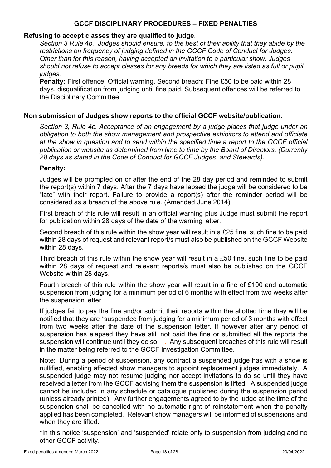#### **Refusing to accept classes they are qualified to judge**.

*Section 3 Rule 4b. Judges should ensure, to the best of their ability that they abide by the restrictions on frequency of judging defined in the GCCF Code of Conduct for Judges. Other than for this reason, having accepted an invitation to a particular show, Judges should not refuse to accept classes for any breeds for which they are listed as full or pupil judges.*

**Penalty:** First offence: Official warning. Second breach: Fine £50 to be paid within 28 days, disqualification from judging until fine paid. Subsequent offences will be referred to the Disciplinary Committee

## **Non submission of Judges show reports to the official GCCF website/publication.**

*Section 3, Rule 4c. Acceptance of an engagement by a judge places that judge under an obligation to both the show management and prospective exhibitors to attend and officiate at the show in question and to send within the specified time a report to the GCCF official publication or website as determined from time to time by the Board of Directors. (Currently 28 days as stated in the Code of Conduct for GCCF Judges and Stewards).*

## **Penalty:**

Judges will be prompted on or after the end of the 28 day period and reminded to submit the report(s) within 7 days. After the 7 days have lapsed the judge will be considered to be "late" with their report. Failure to provide a report(s) after the reminder period will be considered as a breach of the above rule. (Amended June 2014)

First breach of this rule will result in an official warning plus Judge must submit the report for publication within 28 days of the date of the warning letter.

Second breach of this rule within the show year will result in a £25 fine, such fine to be paid within 28 days of request and relevant report/s must also be published on the GCCF Website within 28 days.

Third breach of this rule within the show year will result in a £50 fine, such fine to be paid within 28 days of request and relevant reports/s must also be published on the GCCF Website within 28 days.

Fourth breach of this rule within the show year will result in a fine of £100 and automatic suspension from judging for a minimum period of 6 months with effect from two weeks after the suspension letter

If judges fail to pay the fine and/or submit their reports within the allotted time they will be notified that they are \*suspended from judging for a minimum period of 3 months with effect from two weeks after the date of the suspension letter. If however after any period of suspension has elapsed they have still not paid the fine or submitted all the reports the suspension will continue until they do so. . Any subsequent breaches of this rule will result in the matter being referred to the GCCF Investigation Committee.

Note: During a period of suspension, any contract a suspended judge has with a show is nullified, enabling affected show managers to appoint replacement judges immediately. A suspended judge may not resume judging nor accept invitations to do so until they have received a letter from the GCCF advising them the suspension is lifted. A suspended judge cannot be included in any schedule or catalogue published during the suspension period (unless already printed). Any further engagements agreed to by the judge at the time of the suspension shall be cancelled with no automatic right of reinstatement when the penalty applied has been completed. Relevant show managers will be informed of suspensions and when they are lifted.

\*In this notice 'suspension' and 'suspended' relate only to suspension from judging and no other GCCF activity.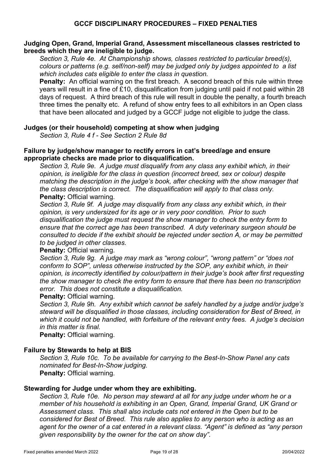## **Judging Open, Grand, Imperial Grand, Assessment miscellaneous classes restricted to breeds which they are ineligible to judge.**

*Section 3, Rule 4e. At Championship shows, classes restricted to particular breed(s), colours or patterns (e.g. self/non-self) may be judged only by judges appointed to a list which includes cats eligible to enter the class in question.* 

**Penalty:** An official warning on the first breach. A second breach of this rule within three years will result in a fine of £10, disqualification from judging until paid if not paid within 28 days of request. A third breach of this rule will result in double the penalty, a fourth breach three times the penalty etc. A refund of show entry fees to all exhibitors in an Open class that have been allocated and judged by a GCCF judge not eligible to judge the class.

#### **Judges (or their household) competing at show when judging**

*Section 3, Rule 4 f - See Section 2 Rule 8d*

#### **Failure by judge/show manager to rectify errors in cat's breed/age and ensure appropriate checks are made prior to disqualification.**

*Section 3, Rule 9e. A judge must disqualify from any class any exhibit which, in their opinion, is ineligible for the class in question (incorrect breed, sex or colour) despite matching the description in the judge's book, after checking with the show manager that the class description is correct. The disqualification will apply to that class only.* **Penalty:** Official warning.

*Section 3, Rule 9f. A judge may disqualify from any class any exhibit which, in their opinion, is very undersized for its age or in very poor condition. Prior to such disqualification the judge must request the show manager to check the entry form to ensure that the correct age has been transcribed. A duty veterinary surgeon should be consulted to decide if the exhibit should be rejected under section A, or may be permitted to be judged in other classes.*

#### **Penalty:** Official warning.

*Section 3, Rule 9g. A judge may mark as "wrong colour", "wrong pattern" or "does not conform to SOP", unless otherwise instructed by the SOP, any exhibit which, in their opinion, is incorrectly identified by colour/pattern in their judge's book after first requesting the show manager to check the entry form to ensure that there has been no transcription error. This does not constitute a disqualification.*

#### **Penalty:** Official warning.

*Section 3, Rule 9h. Any exhibit which cannot be safely handled by a judge and/or judge's steward will be disqualified in those classes, including consideration for Best of Breed, in which it could not be handled, with forfeiture of the relevant entry fees. A judge's decision in this matter is final.*

**Penalty:** Official warning.

#### **Failure by Stewards to help at BIS**

*Section 3, Rule 10c. To be available for carrying to the Best-In-Show Panel any cats nominated for Best-In-Show judging.* **Penalty:** Official warning.

#### **Stewarding for Judge under whom they are exhibiting.**

*Section 3, Rule 10e. No person may steward at all for any judge under whom he or a member of his household is exhibiting in an Open, Grand, Imperial Grand, UK Grand or Assessment class. This shall also include cats not entered in the Open but to be considered for Best of Breed. This rule also applies to any person who is acting as an agent for the owner of a cat entered in a relevant class. "Agent" is defined as "any person given responsibility by the owner for the cat on show day".*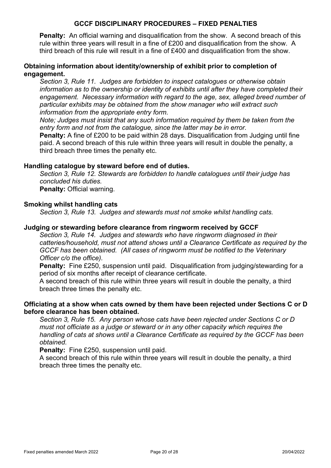**Penalty:** An official warning and disqualification from the show. A second breach of this rule within three years will result in a fine of £200 and disqualification from the show. A third breach of this rule will result in a fine of £400 and disqualification from the show.

## **Obtaining information about identity/ownership of exhibit prior to completion of engagement.**

*Section 3, Rule 11. Judges are forbidden to inspect catalogues or otherwise obtain information as to the ownership or identity of exhibits until after they have completed their engagement. Necessary information with regard to the age, sex, alleged breed number of particular exhibits may be obtained from the show manager who will extract such information from the appropriate entry form.*

*Note; Judges must insist that any such information required by them be taken from the entry form and not from the catalogue, since the latter may be in error.*

**Penalty:** A fine of £200 to be paid within 28 days. Disqualification from Judging until fine paid. A second breach of this rule within three years will result in double the penalty, a third breach three times the penalty etc.

#### **Handling catalogue by steward before end of duties.**

*Section 3, Rule 12. Stewards are forbidden to handle catalogues until their judge has concluded his duties.* **Penalty:** Official warning.

## **Smoking whilst handling cats**

*Section 3, Rule 13. Judges and stewards must not smoke whilst handling cats.*

#### **Judging or stewarding before clearance from ringworm received by GCCF**

*Section 3, Rule 14. Judges and stewards who have ringworm diagnosed in their catteries/household, must not attend shows until a Clearance Certificate as required by the GCCF has been obtained. (All cases of ringworm must be notified to the Veterinary Officer c/o the office).*

**Penalty:** Fine £250, suspension until paid. Disqualification from judging/stewarding for a period of six months after receipt of clearance certificate.

A second breach of this rule within three years will result in double the penalty, a third breach three times the penalty etc.

## **Officiating at a show when cats owned by them have been rejected under Sections C or D before clearance has been obtained.**

*Section 3, Rule 15. Any person whose cats have been rejected under Sections C or D must not officiate as a judge or steward or in any other capacity which requires the handling of cats at shows until a Clearance Certificate as required by the GCCF has been obtained.*

**Penalty:** Fine £250, suspension until paid.

A second breach of this rule within three years will result in double the penalty, a third breach three times the penalty etc.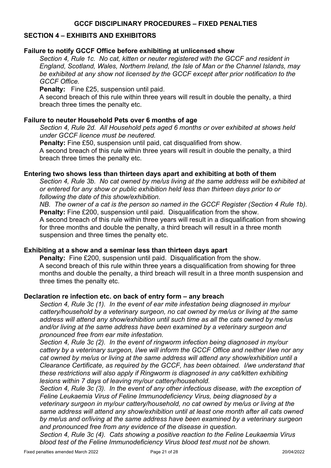## **SECTION 4 – EXHIBITS AND EXHIBITORS**

#### **Failure to notify GCCF Office before exhibiting at unlicensed show**

*Section 4, Rule 1c. No cat, kitten or neuter registered with the GCCF and resident in England, Scotland, Wales, Northern Ireland, the Isle of Man or the Channel Islands, may be exhibited at any show not licensed by the GCCF except after prior notification to the GCCF Office.*

**Penalty:** Fine £25, suspension until paid.

A second breach of this rule within three years will result in double the penalty, a third breach three times the penalty etc.

#### **Failure to neuter Household Pets over 6 months of age**

*Section 4, Rule 2d. All Household pets aged 6 months or over exhibited at shows held under GCCF licence must be neutered.*

**Penalty:** Fine £50, suspension until paid, cat disqualified from show.

A second breach of this rule within three years will result in double the penalty, a third breach three times the penalty etc.

#### **Entering two shows less than thirteen days apart and exhibiting at both of them**

*Section 4, Rule 3b. No cat owned by me/us living at the same address will be exhibited at or entered for any show or public exhibition held less than thirteen days prior to or following the date of this show/exhibition.*

*NB. The owner of a cat is the person so named in the GCCF Register (Section 4 Rule 1b).* **Penalty:** Fine £200, suspension until paid. Disqualification from the show.

A second breach of this rule within three years will result in a disqualification from showing for three months and double the penalty, a third breach will result in a three month suspension and three times the penalty etc.

## **Exhibiting at a show and a seminar less than thirteen days apart**

**Penalty:** Fine £200, suspension until paid. Disqualification from the show. A second breach of this rule within three years a disqualification from showing for three months and double the penalty, a third breach will result in a three month suspension and three times the penalty etc.

## **Declaration re infection etc. on back of entry form – any breach**

*Section 4, Rule 3c (1). In the event of ear mite infestation being diagnosed in my/our cattery/household by a veterinary surgeon, no cat owned by me/us or living at the same address will attend any show/exhibition until such time as all the cats owned by me/us and/or living at the same address have been examined by a veterinary surgeon and pronounced free from ear mite infestation.*

*Section 4, Rule 3c (2). In the event of ringworm infection being diagnosed in my/our cattery by a veterinary surgeon, I/we will inform the GCCF Office and neither I/we nor any cat owned by me/us or living at the same address will attend any show/exhibition until a Clearance Certificate, as required by the GCCF, has been obtained. I/we understand that these restrictions will also apply if Ringworm is diagnosed in any cat/kitten exhibiting lesions within 7 days of leaving my/our cattery/household.*

*Section 4, Rule 3c (3). In the event of any other infectious disease, with the exception of Feline Leukaemia Virus of Feline Immunodeficiency Virus, being diagnosed by a veterinary surgeon in my/our cattery/household, no cat owned by me/us or living at the same address will attend any show/exhibition until at least one month after all cats owned by me/us and or/living at the same address have been examined by a veterinary surgeon and pronounced free from any evidence of the disease in question.*

*Section 4, Rule 3c (4). Cats showing a positive reaction to the Feline Leukaemia Virus blood test of the Feline Immunodeficiency Virus blood test must not be shown.*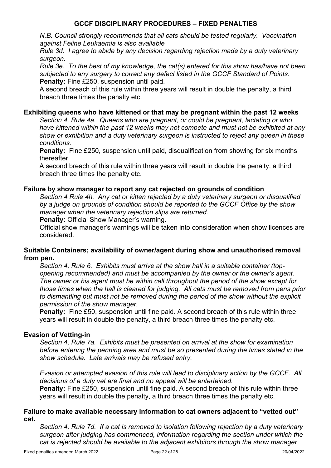*N.B. Council strongly recommends that all cats should be tested regularly. Vaccination against Feline Leukaemia is also available*

*Rule 3d. I agree to abide by any decision regarding rejection made by a duty veterinary surgeon.*

*Rule 3e. To the best of my knowledge, the cat(s) entered for this show has/have not been subjected to any surgery to correct any defect listed in the GCCF Standard of Points.* **Penalty:** Fine £250, suspension until paid.

A second breach of this rule within three years will result in double the penalty, a third breach three times the penalty etc.

## **Exhibiting queens who have kittened or that may be pregnant within the past 12 weeks**

*Section 4, Rule 4a. Queens who are pregnant, or could be pregnant, lactating or who have kittened within the past 12 weeks may not compete and must not be exhibited at any show or exhibition and a duty veterinary surgeon is instructed to reject any queen in these conditions.*

**Penalty:** Fine £250, suspension until paid, disqualification from showing for six months thereafter.

A second breach of this rule within three years will result in double the penalty, a third breach three times the penalty etc.

## **Failure by show manager to report any cat rejected on grounds of condition**

*Section 4 Rule 4h. Any cat or kitten rejected by a duty veterinary surgeon or disqualified by a judge on grounds of condition should be reported to the GCCF Office by the show manager when the veterinary rejection slips are returned.*

**Penalty:** Official Show Manager's warning.

Official show manager's warnings will be taken into consideration when show licences are considered.

## **Suitable Containers; availability of owner/agent during show and unauthorised removal from pen.**

*Section 4, Rule 6. Exhibits must arrive at the show hall in a suitable container (topopening recommended) and must be accompanied by the owner or the owner's agent. The owner or his agent must be within call throughout the period of the show except for those times when the hall is cleared for judging. All cats must be removed from pens prior to dismantling but must not be removed during the period of the show without the explicit permission of the show manager.*

**Penalty:** Fine £50, suspension until fine paid. A second breach of this rule within three years will result in double the penalty, a third breach three times the penalty etc.

#### **Evasion of Vetting-in**

*Section 4, Rule 7a. Exhibits must be presented on arrival at the show for examination before entering the penning area and must be so presented during the times stated in the show schedule. Late arrivals may be refused entry.*

*Evasion or attempted evasion of this rule will lead to disciplinary action by the GCCF. All decisions of a duty vet are final and no appeal will be entertained.* **Penalty:** Fine £250, suspension until fine paid. A second breach of this rule within three years will result in double the penalty, a third breach three times the penalty etc.

## **Failure to make available necessary information to cat owners adjacent to "vetted out" cat.**

*Section 4, Rule 7d. If a cat is removed to isolation following rejection by a duty veterinary surgeon after judging has commenced, information regarding the section under which the cat is rejected should be available to the adjacent exhibitors through the show manager*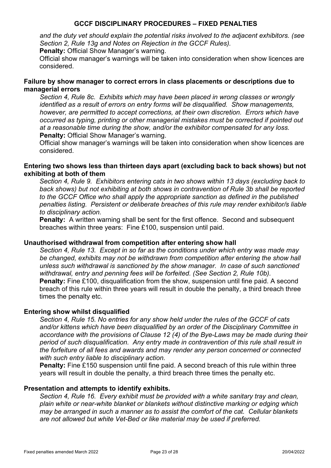*and the duty vet should explain the potential risks involved to the adjacent exhibitors. (see Section 2, Rule 13g and Notes on Rejection in the GCCF Rules).*

**Penalty:** Official Show Manager's warning.

Official show manager's warnings will be taken into consideration when show licences are considered.

## **Failure by show manager to correct errors in class placements or descriptions due to managerial errors**

*Section 4, Rule 8c. Exhibits which may have been placed in wrong classes or wrongly identified as a result of errors on entry forms will be disqualified. Show managements, however, are permitted to accept corrections, at their own discretion. Errors which have occurred as typing, printing or other managerial mistakes must be corrected if pointed out at a reasonable time during the show, and/or the exhibitor compensated for any loss.* **Penalty:** Official Show Manager's warning.

Official show manager's warnings will be taken into consideration when show licences are considered.

## **Entering two shows less than thirteen days apart (excluding back to back shows) but not exhibiting at both of them**

*Section 4, Rule 9. Exhibitors entering cats in two shows within 13 days (excluding back to back shows) but not exhibiting at both shows in contravention of Rule 3b shall be reported to the GCCF Office who shall apply the appropriate sanction as defined in the published penalties listing. Persistent or deliberate breaches of this rule may render exhibitor/s liable to disciplinary action.*

**Penalty:** A written warning shall be sent for the first offence. Second and subsequent breaches within three years: Fine £100, suspension until paid.

#### **Unauthorised withdrawal from competition after entering show hall**

*Section 4, Rule 13. Except in so far as the conditions under which entry was made may*  be changed, exhibits may not be withdrawn from competition after entering the show hall *unless such withdrawal is sanctioned by the show manager. In case of such sanctioned withdrawal, entry and penning fees will be forfeited. (See Section 2, Rule 10b).* **Penalty:** Fine £100, disqualification from the show, suspension until fine paid. A second breach of this rule within three years will result in double the penalty, a third breach three times the penalty etc.

#### **Entering show whilst disqualified**

*Section 4, Rule 15. No entries for any show held under the rules of the GCCF of cats and/or kittens which have been disqualified by an order of the Disciplinary Committee in accordance with the provisions of Clause 12 (4) of the Bye-Laws may be made during their period of such disqualification. Any entry made in contravention of this rule shall result in the forfeiture of all fees and awards and may render any person concerned or connected with such entry liable to disciplinary action.*

**Penalty:** Fine £150 suspension until fine paid. A second breach of this rule within three years will result in double the penalty, a third breach three times the penalty etc.

#### **Presentation and attempts to identify exhibits.**

*Section 4, Rule 16. Every exhibit must be provided with a white sanitary tray and clean, plain white or near-white blanket or blankets without distinctive marking or edging which may be arranged in such a manner as to assist the comfort of the cat. Cellular blankets are not allowed but white Vet-Bed or like material may be used if preferred.*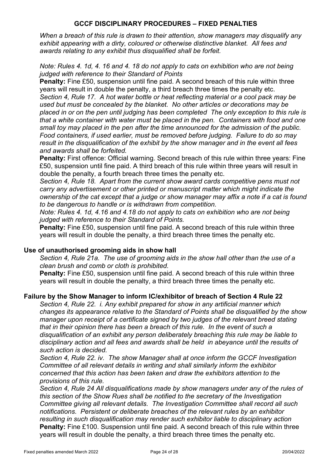*When a breach of this rule is drawn to their attention, show managers may disqualify any exhibit appearing with a dirty, coloured or otherwise distinctive blanket. All fees and awards relating to any exhibit thus disqualified shall be forfeit.*

*Note: Rules 4. 1d, 4. 16 and 4. 18 do not apply to cats on exhibition who are not being judged with reference to their Standard of Points*

**Penalty:** Fine £50, suspension until fine paid. A second breach of this rule within three years will result in double the penalty, a third breach three times the penalty etc. *Section 4, Rule 17. A hot water bottle or heat reflecting material or a cool pack may be used but must be concealed by the blanket. No other articles or decorations may be placed in or on the pen until judging has been completed The only exception to this rule is that a white container with water must be placed in the pen. Containers with food and one small toy may placed in the pen after the time announced for the admission of the public. Food containers, if used earlier, must be removed before judging. Failure to do so may result in the disqualification of the exhibit by the show manager and in the event all fees and awards shall be forfeited.*

**Penalty:** First offence: Official warning. Second breach of this rule within three years: Fine £50, suspension until fine paid. A third breach of this rule within three years will result in double the penalty, a fourth breach three times the penalty etc.

*Section 4, Rule 18. Apart from the current show award cards competitive pens must not carry any advertisement or other printed or manuscript matter which might indicate the ownership of the cat except that a judge or show manager may affix a note if a cat is found to be dangerous to handle or is withdrawn from competition.*

*Note: Rules 4. 1d, 4.16 and 4.18 do not apply to cats on exhibition who are not being judged with reference to their Standard of Points.*

**Penalty:** Fine £50, suspension until fine paid. A second breach of this rule within three years will result in double the penalty, a third breach three times the penalty etc.

#### **Use of unauthorised grooming aids in show hall**

*Section 4, Rule 21a. The use of grooming aids in the show hall other than the use of a clean brush and comb or cloth is prohibited.*

**Penalty:** Fine £50, suspension until fine paid. A second breach of this rule within three years will result in double the penalty, a third breach three times the penalty etc.

## **Failure by the Show Manager to inform IC/exhibitor of breach of Section 4 Rule 22**

*Section 4, Rule 22. i. Any exhibit prepared for show in any artificial manner which changes its appearance relative to the Standard of Points shall be disqualified by the show manager upon receipt of a certificate signed by two judges of the relevant breed stating that in their opinion there has been a breach of this rule. In the event of such a disqualification of an exhibit any person deliberately breaching this rule may be liable to disciplinary action and all fees and awards shall be held in abeyance until the results of such action is decided.*

*Section 4, Rule 22. iv. The show Manager shall at once inform the GCCF Investigation Committee of all relevant details in writing and shall similarly inform the exhibitor concerned that this action has been taken and draw the exhibitors attention to the provisions of this rule.*

*Section 4, Rule 24 All disqualifications made by show managers under any of the rules of this section of the Show Rues shall be notified to the secretary of the Investigation Committee giving all relevant details. The Investigation Committee shall record all such notifications. Persistent or deliberate breaches of the relevant rules by an exhibitor resulting in such disqualification may render such exhibitor liable to disciplinary action* **Penalty:** Fine £100. Suspension until fine paid. A second breach of this rule within three years will result in double the penalty, a third breach three times the penalty etc.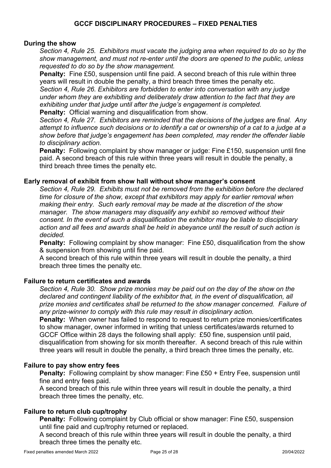## **During the show**

*Section 4, Rule 25. Exhibitors must vacate the judging area when required to do so by the show management, and must not re-enter until the doors are opened to the public, unless requested to do so by the show management.*

**Penalty:** Fine £50, suspension until fine paid. A second breach of this rule within three years will result in double the penalty, a third breach three times the penalty etc.

*Section 4, Rule 26. Exhibitors are forbidden to enter into conversation with any judge under whom they are exhibiting and deliberately draw attention to the fact that they are exhibiting under that judge until after the judge's engagement is completed.*

**Penalty:** Official warning and disqualification from show.

*Section 4, Rule 27. Exhibitors are reminded that the decisions of the judges are final. Any attempt to influence such decisions or to identify a cat or ownership of a cat to a judge at a show before that judge's engagement has been completed, may render the offender liable to disciplinary action.*

**Penalty:** Following complaint by show manager or judge: Fine £150, suspension until fine paid. A second breach of this rule within three years will result in double the penalty, a third breach three times the penalty etc.

## **Early removal of exhibit from show hall without show manager's consent**

*Section 4, Rule 29. Exhibits must not be removed from the exhibition before the declared time for closure of the show, except that exhibitors may apply for earlier removal when making their entry. Such early removal may be made at the discretion of the show manager. The show managers may disqualify any exhibit so removed without their consent. In the event of such a disqualification the exhibitor may be liable to disciplinary action and all fees and awards shall be held in abeyance until the result of such action is decided.* 

**Penalty:** Following complaint by show manager: Fine £50, disqualification from the show & suspension from showing until fine paid.

A second breach of this rule within three years will result in double the penalty, a third breach three times the penalty etc.

#### **Failure to return certificates and awards**

*Section 4, Rule 30. Show prize monies may be paid out on the day of the show on the declared and contingent liability of the exhibitor that, in the event of disqualification, all prize monies and certificates shall be returned to the show manager concerned. Failure of any prize-winner to comply with this rule may result in disciplinary action.*

**Penalty:** When owner has failed to respond to request to return prize monies/certificates to show manager, owner informed in writing that unless certificates/awards returned to GCCF Office within 28 days the following shall apply: £50 fine, suspension until paid, disqualification from showing for six month thereafter. A second breach of this rule within three years will result in double the penalty, a third breach three times the penalty, etc.

#### **Failure to pay show entry fees**

**Penalty:** Following complaint by show manager: Fine £50 + Entry Fee, suspension until fine and entry fees paid.

A second breach of this rule within three years will result in double the penalty, a third breach three times the penalty, etc.

## **Failure to return club cup/trophy**

**Penalty:** Following complaint by Club official or show manager: Fine £50, suspension until fine paid and cup/trophy returned or replaced.

A second breach of this rule within three years will result in double the penalty, a third breach three times the penalty etc.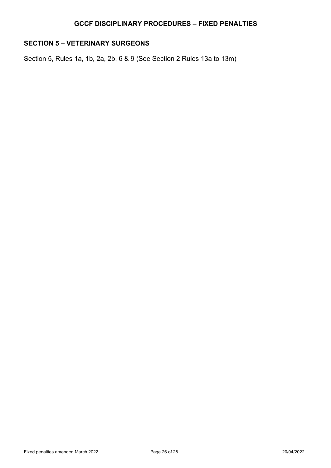## **SECTION 5 – VETERINARY SURGEONS**

Section 5, Rules 1a, 1b, 2a, 2b, 6 & 9 (See Section 2 Rules 13a to 13m)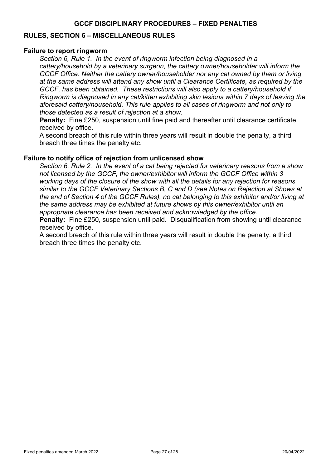## **RULES, SECTION 6 – MISCELLANEOUS RULES**

#### **Failure to report ringworm**

*Section 6, Rule 1. In the event of ringworm infection being diagnosed in a cattery/household by a veterinary surgeon, the cattery owner/householder will inform the GCCF Office. Neither the cattery owner/householder nor any cat owned by them or living at the same address will attend any show until a Clearance Certificate, as required by the GCCF, has been obtained. These restrictions will also apply to a cattery/household if Ringworm is diagnosed in any cat/kitten exhibiting skin lesions within 7 days of leaving the aforesaid cattery/household. This rule applies to all cases of ringworm and not only to those detected as a result of rejection at a show.*

**Penalty:** Fine £250, suspension until fine paid and thereafter until clearance certificate received by office.

A second breach of this rule within three years will result in double the penalty, a third breach three times the penalty etc.

#### **Failure to notify office of rejection from unlicensed show**

*Section 6, Rule 2. In the event of a cat being rejected for veterinary reasons from a show not licensed by the GCCF, the owner/exhibitor will inform the GCCF Office within 3 working days of the closure of the show with all the details for any rejection for reasons similar to the GCCF Veterinary Sections B, C and D (see Notes on Rejection at Shows at the end of Section 4 of the GCCF Rules), no cat belonging to this exhibitor and/or living at the same address may be exhibited at future shows by this owner/exhibitor until an appropriate clearance has been received and acknowledged by the office.*

**Penalty:** Fine £250, suspension until paid. Disqualification from showing until clearance received by office.

A second breach of this rule within three years will result in double the penalty, a third breach three times the penalty etc.